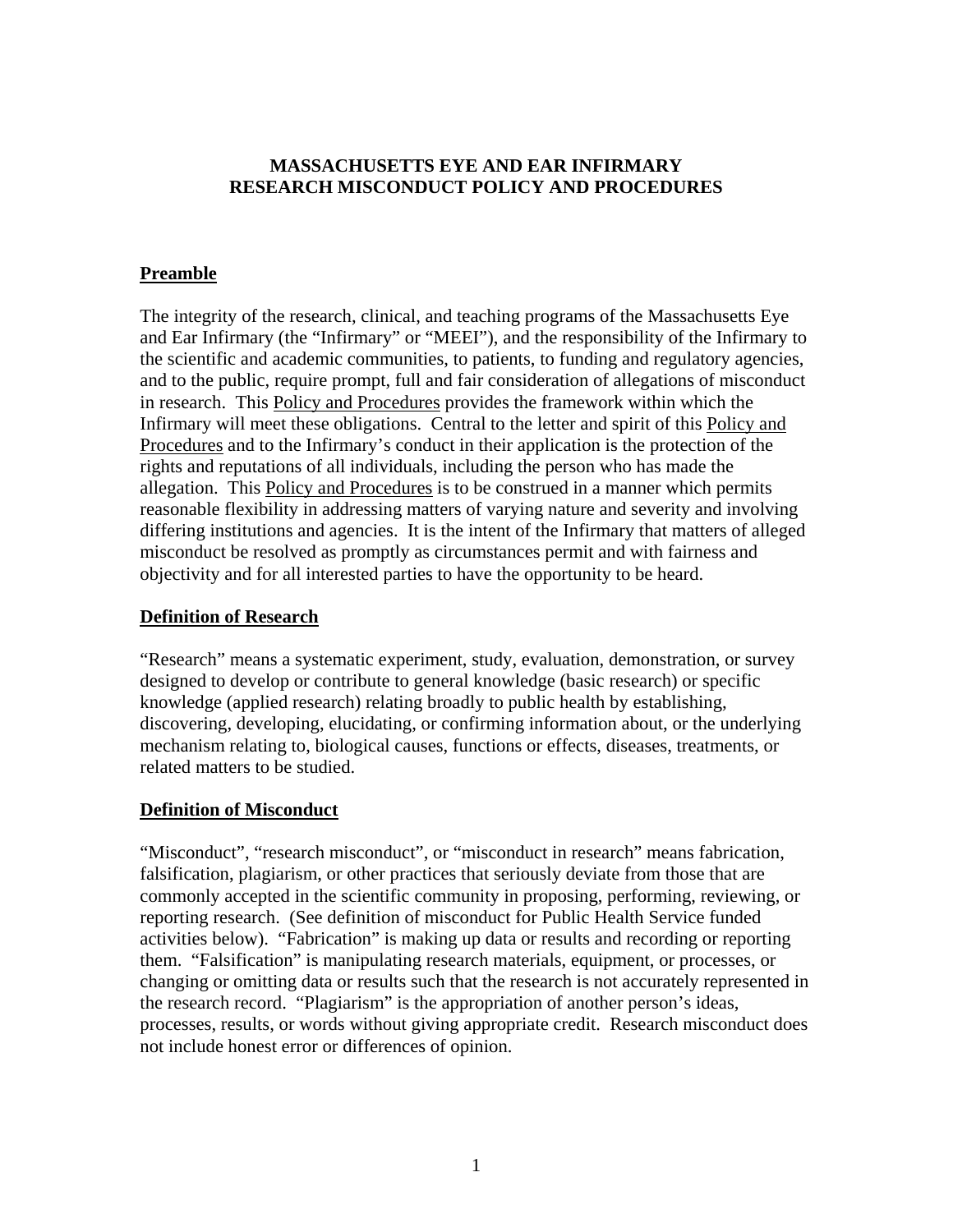#### **MASSACHUSETTS EYE AND EAR INFIRMARY RESEARCH MISCONDUCT POLICY AND PROCEDURES**

## **Preamble**

The integrity of the research, clinical, and teaching programs of the Massachusetts Eye and Ear Infirmary (the "Infirmary" or "MEEI"), and the responsibility of the Infirmary to the scientific and academic communities, to patients, to funding and regulatory agencies, and to the public, require prompt, full and fair consideration of allegations of misconduct in research. This Policy and Procedures provides the framework within which the Infirmary will meet these obligations. Central to the letter and spirit of this Policy and Procedures and to the Infirmary's conduct in their application is the protection of the rights and reputations of all individuals, including the person who has made the allegation. This Policy and Procedures is to be construed in a manner which permits reasonable flexibility in addressing matters of varying nature and severity and involving differing institutions and agencies. It is the intent of the Infirmary that matters of alleged misconduct be resolved as promptly as circumstances permit and with fairness and objectivity and for all interested parties to have the opportunity to be heard.

#### **Definition of Research**

"Research" means a systematic experiment, study, evaluation, demonstration, or survey designed to develop or contribute to general knowledge (basic research) or specific knowledge (applied research) relating broadly to public health by establishing, discovering, developing, elucidating, or confirming information about, or the underlying mechanism relating to, biological causes, functions or effects, diseases, treatments, or related matters to be studied.

#### **Definition of Misconduct**

"Misconduct", "research misconduct", or "misconduct in research" means fabrication, falsification, plagiarism, or other practices that seriously deviate from those that are commonly accepted in the scientific community in proposing, performing, reviewing, or reporting research. (See definition of misconduct for Public Health Service funded activities below). "Fabrication" is making up data or results and recording or reporting them. "Falsification" is manipulating research materials, equipment, or processes, or changing or omitting data or results such that the research is not accurately represented in the research record. "Plagiarism" is the appropriation of another person's ideas, processes, results, or words without giving appropriate credit. Research misconduct does not include honest error or differences of opinion.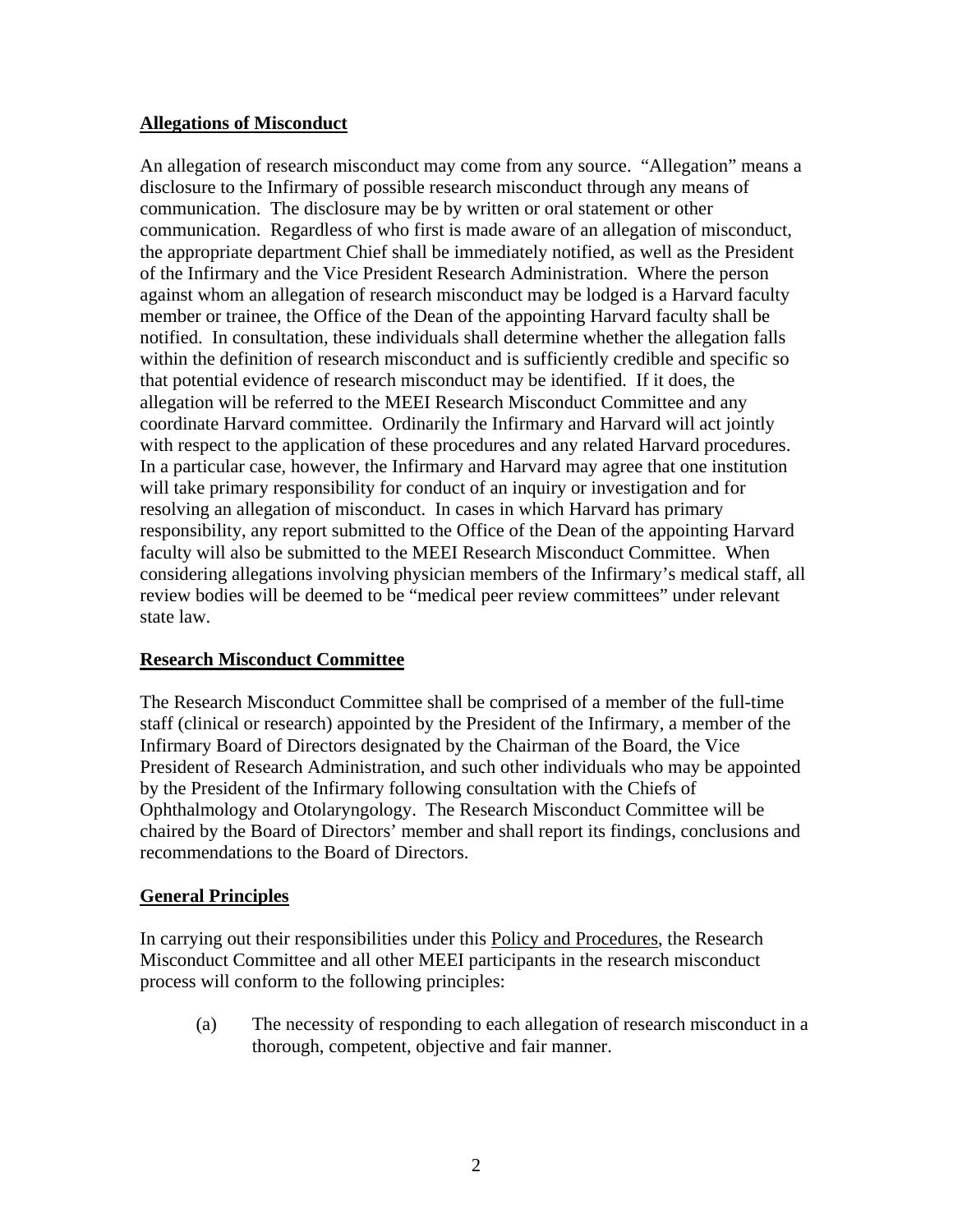## **Allegations of Misconduct**

An allegation of research misconduct may come from any source. "Allegation" means a disclosure to the Infirmary of possible research misconduct through any means of communication. The disclosure may be by written or oral statement or other communication. Regardless of who first is made aware of an allegation of misconduct, the appropriate department Chief shall be immediately notified, as well as the President of the Infirmary and the Vice President Research Administration. Where the person against whom an allegation of research misconduct may be lodged is a Harvard faculty member or trainee, the Office of the Dean of the appointing Harvard faculty shall be notified. In consultation, these individuals shall determine whether the allegation falls within the definition of research misconduct and is sufficiently credible and specific so that potential evidence of research misconduct may be identified. If it does, the allegation will be referred to the MEEI Research Misconduct Committee and any coordinate Harvard committee. Ordinarily the Infirmary and Harvard will act jointly with respect to the application of these procedures and any related Harvard procedures. In a particular case, however, the Infirmary and Harvard may agree that one institution will take primary responsibility for conduct of an inquiry or investigation and for resolving an allegation of misconduct. In cases in which Harvard has primary responsibility, any report submitted to the Office of the Dean of the appointing Harvard faculty will also be submitted to the MEEI Research Misconduct Committee. When considering allegations involving physician members of the Infirmary's medical staff, all review bodies will be deemed to be "medical peer review committees" under relevant state law.

## **Research Misconduct Committee**

The Research Misconduct Committee shall be comprised of a member of the full-time staff (clinical or research) appointed by the President of the Infirmary, a member of the Infirmary Board of Directors designated by the Chairman of the Board, the Vice President of Research Administration, and such other individuals who may be appointed by the President of the Infirmary following consultation with the Chiefs of Ophthalmology and Otolaryngology. The Research Misconduct Committee will be chaired by the Board of Directors' member and shall report its findings, conclusions and recommendations to the Board of Directors.

#### **General Principles**

In carrying out their responsibilities under this Policy and Procedures, the Research Misconduct Committee and all other MEEI participants in the research misconduct process will conform to the following principles:

(a) The necessity of responding to each allegation of research misconduct in a thorough, competent, objective and fair manner.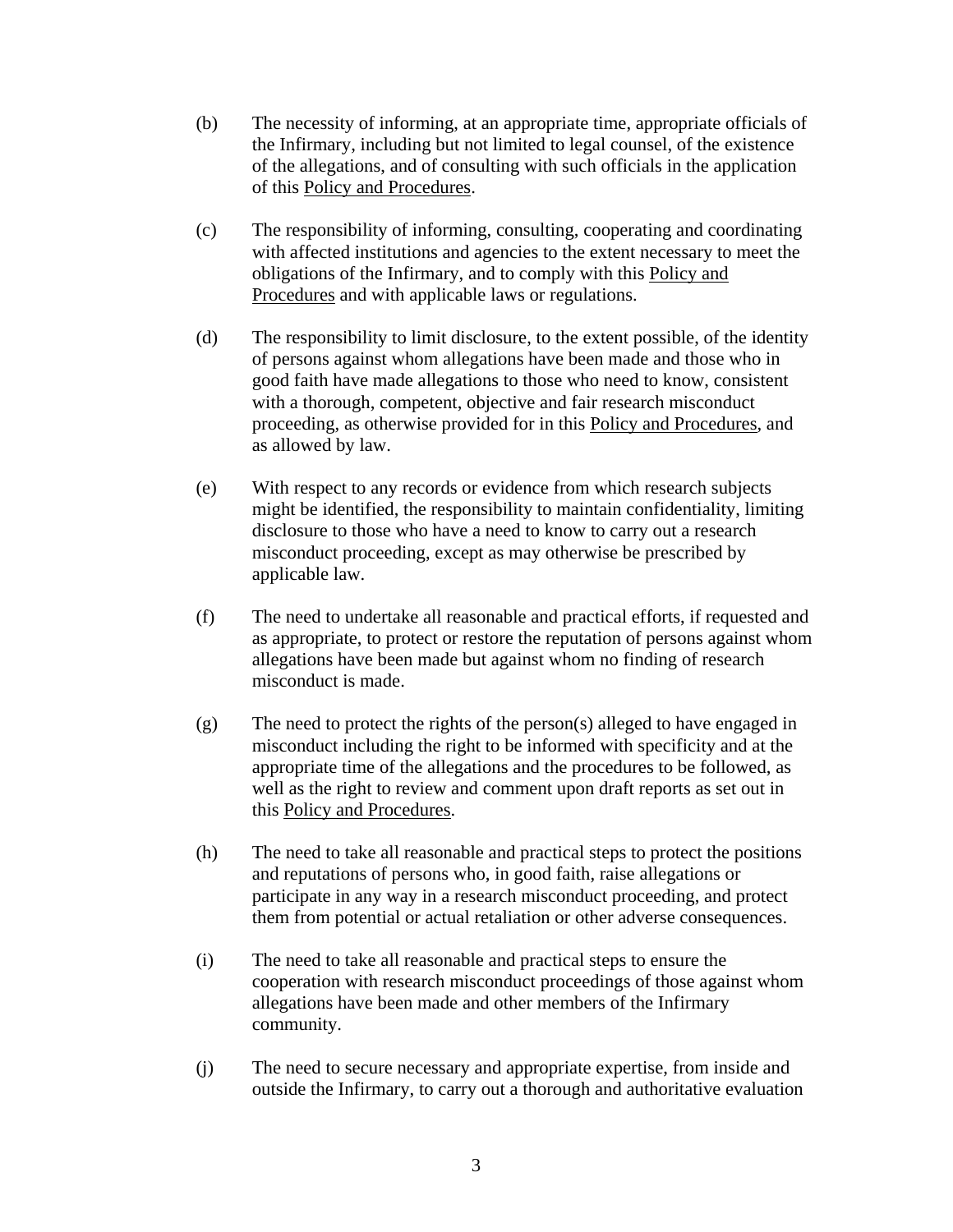- (b) The necessity of informing, at an appropriate time, appropriate officials of the Infirmary, including but not limited to legal counsel, of the existence of the allegations, and of consulting with such officials in the application of this Policy and Procedures.
- (c) The responsibility of informing, consulting, cooperating and coordinating with affected institutions and agencies to the extent necessary to meet the obligations of the Infirmary, and to comply with this Policy and Procedures and with applicable laws or regulations.
- (d) The responsibility to limit disclosure, to the extent possible, of the identity of persons against whom allegations have been made and those who in good faith have made allegations to those who need to know, consistent with a thorough, competent, objective and fair research misconduct proceeding, as otherwise provided for in this Policy and Procedures, and as allowed by law.
- (e) With respect to any records or evidence from which research subjects might be identified, the responsibility to maintain confidentiality, limiting disclosure to those who have a need to know to carry out a research misconduct proceeding, except as may otherwise be prescribed by applicable law.
- (f) The need to undertake all reasonable and practical efforts, if requested and as appropriate, to protect or restore the reputation of persons against whom allegations have been made but against whom no finding of research misconduct is made.
- (g) The need to protect the rights of the person(s) alleged to have engaged in misconduct including the right to be informed with specificity and at the appropriate time of the allegations and the procedures to be followed, as well as the right to review and comment upon draft reports as set out in this Policy and Procedures.
- (h) The need to take all reasonable and practical steps to protect the positions and reputations of persons who, in good faith, raise allegations or participate in any way in a research misconduct proceeding, and protect them from potential or actual retaliation or other adverse consequences.
- (i) The need to take all reasonable and practical steps to ensure the cooperation with research misconduct proceedings of those against whom allegations have been made and other members of the Infirmary community.
- (j) The need to secure necessary and appropriate expertise, from inside and outside the Infirmary, to carry out a thorough and authoritative evaluation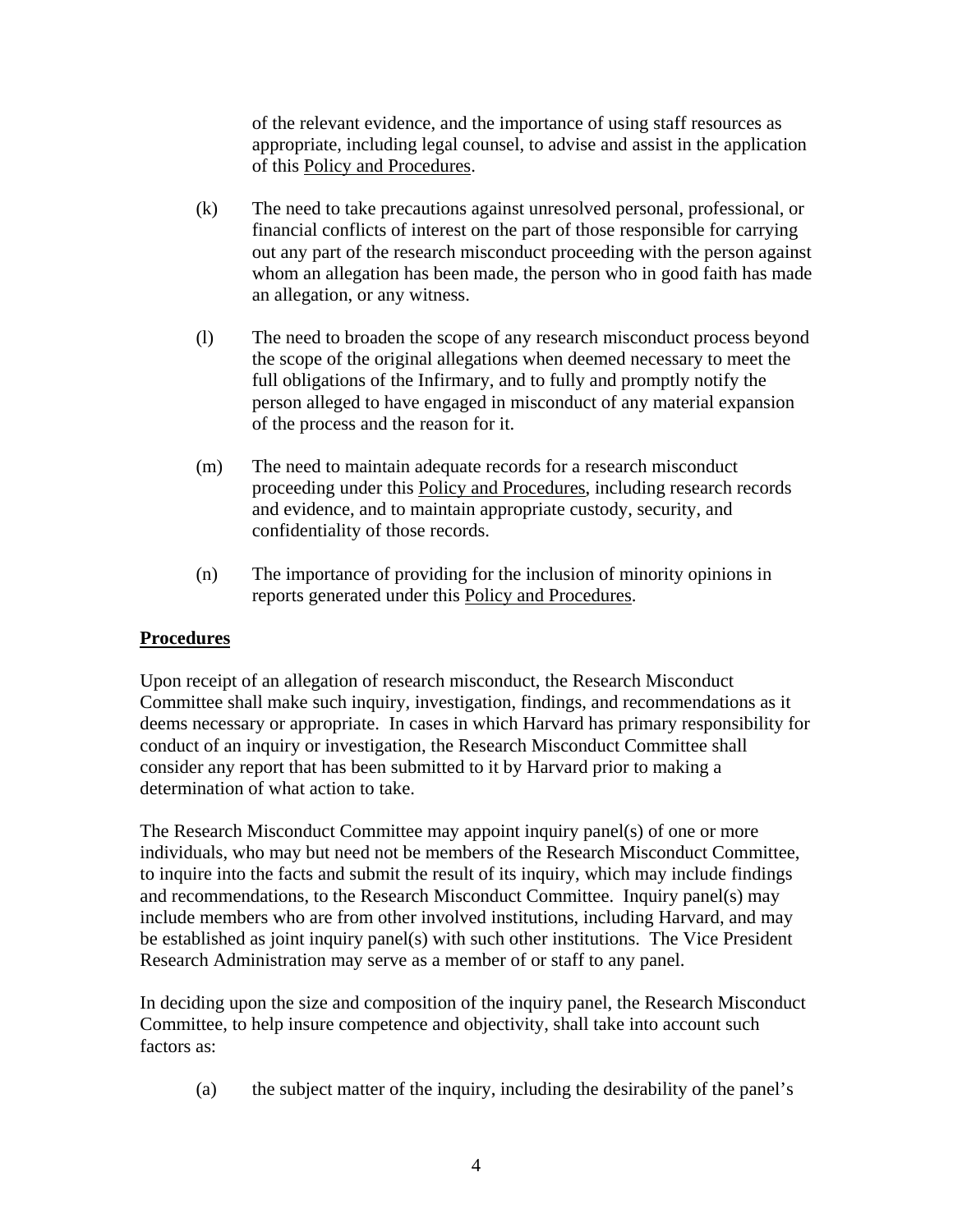of the relevant evidence, and the importance of using staff resources as appropriate, including legal counsel, to advise and assist in the application of this Policy and Procedures.

- (k) The need to take precautions against unresolved personal, professional, or financial conflicts of interest on the part of those responsible for carrying out any part of the research misconduct proceeding with the person against whom an allegation has been made, the person who in good faith has made an allegation, or any witness.
- (l) The need to broaden the scope of any research misconduct process beyond the scope of the original allegations when deemed necessary to meet the full obligations of the Infirmary, and to fully and promptly notify the person alleged to have engaged in misconduct of any material expansion of the process and the reason for it.
- (m) The need to maintain adequate records for a research misconduct proceeding under this Policy and Procedures, including research records and evidence, and to maintain appropriate custody, security, and confidentiality of those records.
- (n) The importance of providing for the inclusion of minority opinions in reports generated under this Policy and Procedures.

## **Procedures**

Upon receipt of an allegation of research misconduct, the Research Misconduct Committee shall make such inquiry, investigation, findings, and recommendations as it deems necessary or appropriate. In cases in which Harvard has primary responsibility for conduct of an inquiry or investigation, the Research Misconduct Committee shall consider any report that has been submitted to it by Harvard prior to making a determination of what action to take.

The Research Misconduct Committee may appoint inquiry panel(s) of one or more individuals, who may but need not be members of the Research Misconduct Committee, to inquire into the facts and submit the result of its inquiry, which may include findings and recommendations, to the Research Misconduct Committee. Inquiry panel(s) may include members who are from other involved institutions, including Harvard, and may be established as joint inquiry panel(s) with such other institutions. The Vice President Research Administration may serve as a member of or staff to any panel.

In deciding upon the size and composition of the inquiry panel, the Research Misconduct Committee, to help insure competence and objectivity, shall take into account such factors as:

(a) the subject matter of the inquiry, including the desirability of the panel's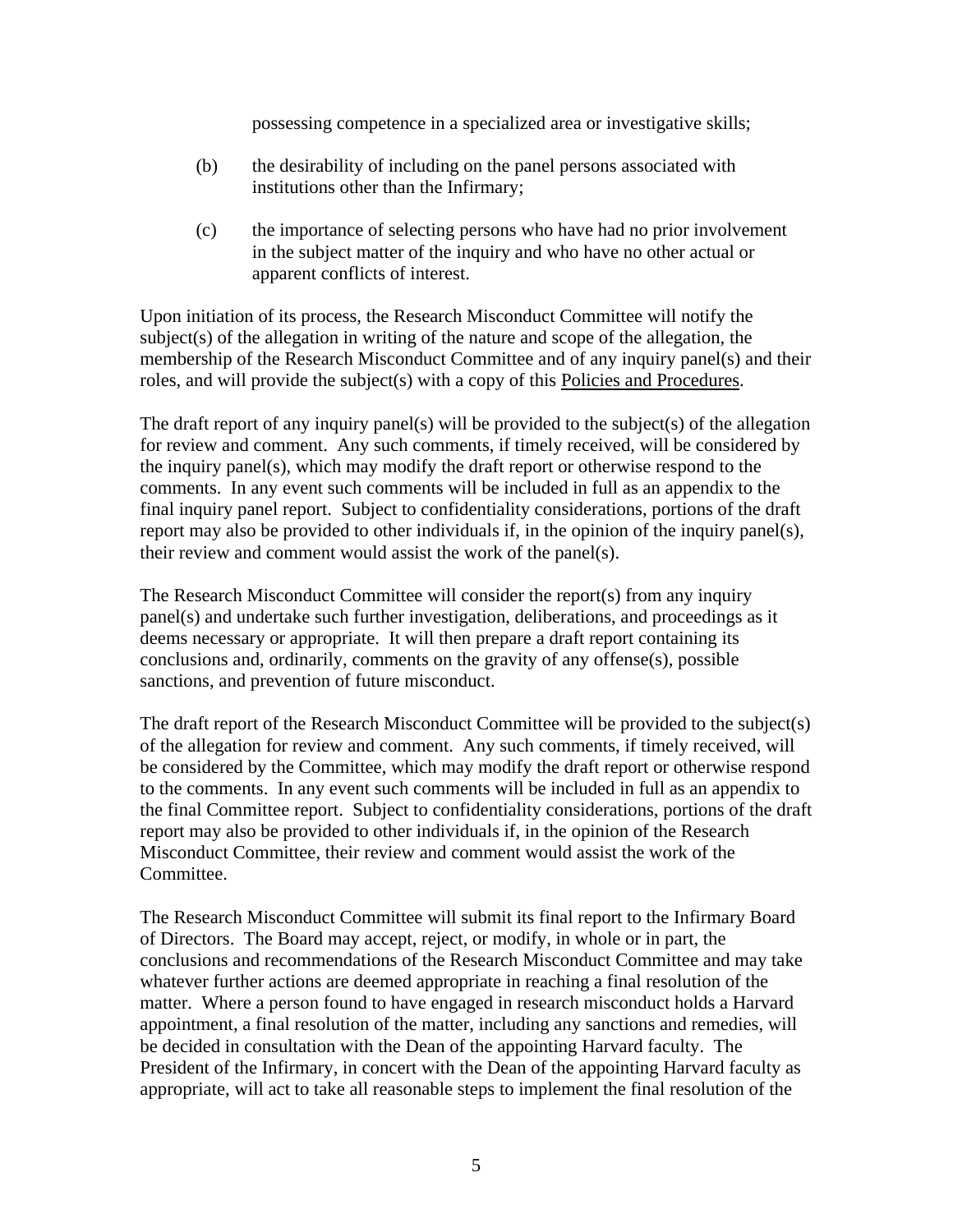possessing competence in a specialized area or investigative skills;

- (b) the desirability of including on the panel persons associated with institutions other than the Infirmary;
- (c) the importance of selecting persons who have had no prior involvement in the subject matter of the inquiry and who have no other actual or apparent conflicts of interest.

Upon initiation of its process, the Research Misconduct Committee will notify the subject(s) of the allegation in writing of the nature and scope of the allegation, the membership of the Research Misconduct Committee and of any inquiry panel(s) and their roles, and will provide the subject(s) with a copy of this Policies and Procedures.

The draft report of any inquiry panel(s) will be provided to the subject(s) of the allegation for review and comment. Any such comments, if timely received, will be considered by the inquiry panel(s), which may modify the draft report or otherwise respond to the comments. In any event such comments will be included in full as an appendix to the final inquiry panel report. Subject to confidentiality considerations, portions of the draft report may also be provided to other individuals if, in the opinion of the inquiry panel(s), their review and comment would assist the work of the panel(s).

The Research Misconduct Committee will consider the report(s) from any inquiry panel(s) and undertake such further investigation, deliberations, and proceedings as it deems necessary or appropriate. It will then prepare a draft report containing its conclusions and, ordinarily, comments on the gravity of any offense(s), possible sanctions, and prevention of future misconduct.

The draft report of the Research Misconduct Committee will be provided to the subject(s) of the allegation for review and comment. Any such comments, if timely received, will be considered by the Committee, which may modify the draft report or otherwise respond to the comments. In any event such comments will be included in full as an appendix to the final Committee report. Subject to confidentiality considerations, portions of the draft report may also be provided to other individuals if, in the opinion of the Research Misconduct Committee, their review and comment would assist the work of the Committee.

The Research Misconduct Committee will submit its final report to the Infirmary Board of Directors. The Board may accept, reject, or modify, in whole or in part, the conclusions and recommendations of the Research Misconduct Committee and may take whatever further actions are deemed appropriate in reaching a final resolution of the matter. Where a person found to have engaged in research misconduct holds a Harvard appointment, a final resolution of the matter, including any sanctions and remedies, will be decided in consultation with the Dean of the appointing Harvard faculty. The President of the Infirmary, in concert with the Dean of the appointing Harvard faculty as appropriate, will act to take all reasonable steps to implement the final resolution of the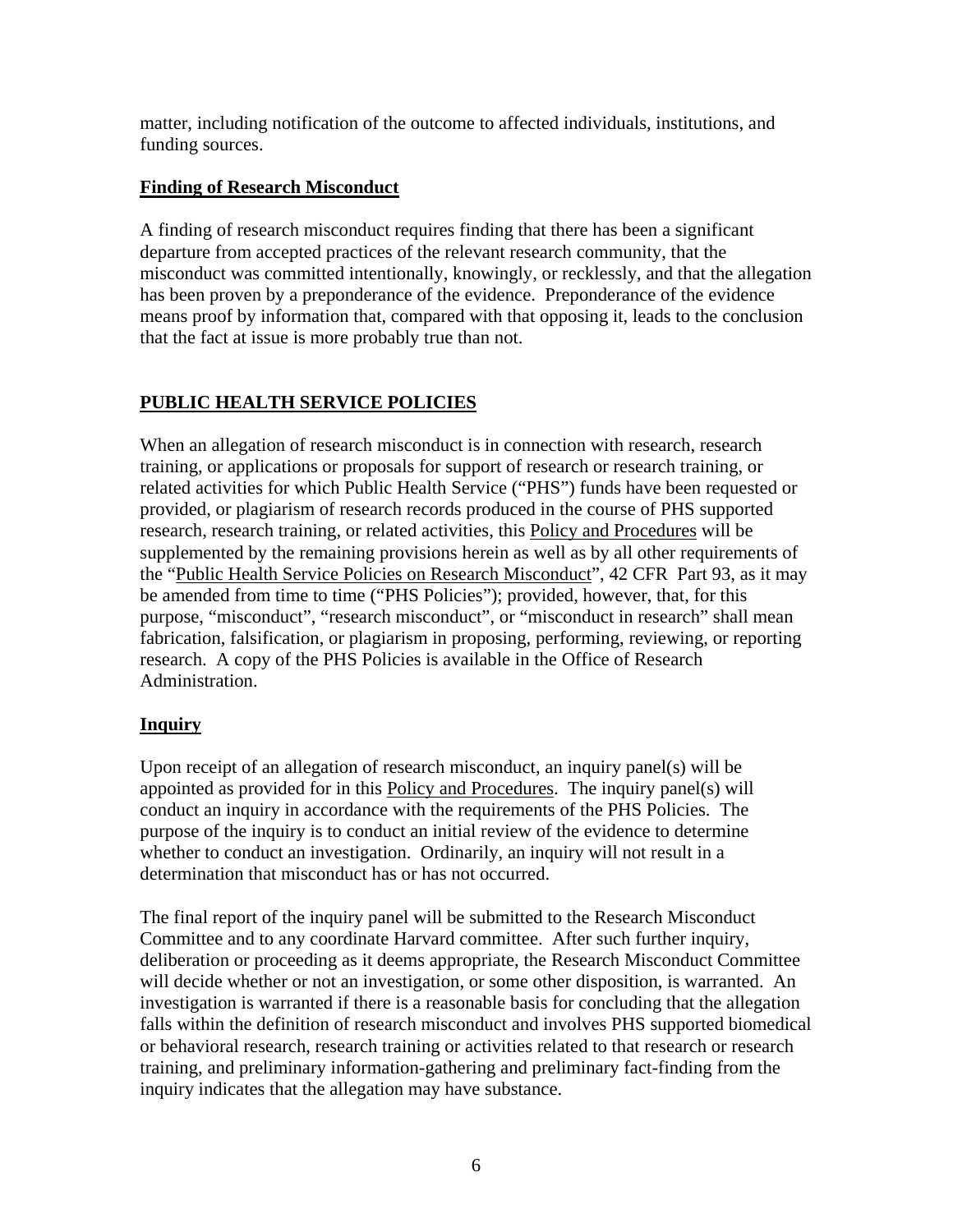matter, including notification of the outcome to affected individuals, institutions, and funding sources.

## **Finding of Research Misconduct**

A finding of research misconduct requires finding that there has been a significant departure from accepted practices of the relevant research community, that the misconduct was committed intentionally, knowingly, or recklessly, and that the allegation has been proven by a preponderance of the evidence. Preponderance of the evidence means proof by information that, compared with that opposing it, leads to the conclusion that the fact at issue is more probably true than not.

# **PUBLIC HEALTH SERVICE POLICIES**

When an allegation of research misconduct is in connection with research, research training, or applications or proposals for support of research or research training, or related activities for which Public Health Service ("PHS") funds have been requested or provided, or plagiarism of research records produced in the course of PHS supported research, research training, or related activities, this Policy and Procedures will be supplemented by the remaining provisions herein as well as by all other requirements of the "Public Health Service Policies on Research Misconduct", 42 CFR Part 93, as it may be amended from time to time ("PHS Policies"); provided, however, that, for this purpose, "misconduct", "research misconduct", or "misconduct in research" shall mean fabrication, falsification, or plagiarism in proposing, performing, reviewing, or reporting research. A copy of the PHS Policies is available in the Office of Research Administration.

# **Inquiry**

Upon receipt of an allegation of research misconduct, an inquiry panel(s) will be appointed as provided for in this Policy and Procedures. The inquiry panel(s) will conduct an inquiry in accordance with the requirements of the PHS Policies. The purpose of the inquiry is to conduct an initial review of the evidence to determine whether to conduct an investigation. Ordinarily, an inquiry will not result in a determination that misconduct has or has not occurred.

The final report of the inquiry panel will be submitted to the Research Misconduct Committee and to any coordinate Harvard committee. After such further inquiry, deliberation or proceeding as it deems appropriate, the Research Misconduct Committee will decide whether or not an investigation, or some other disposition, is warranted. An investigation is warranted if there is a reasonable basis for concluding that the allegation falls within the definition of research misconduct and involves PHS supported biomedical or behavioral research, research training or activities related to that research or research training, and preliminary information-gathering and preliminary fact-finding from the inquiry indicates that the allegation may have substance.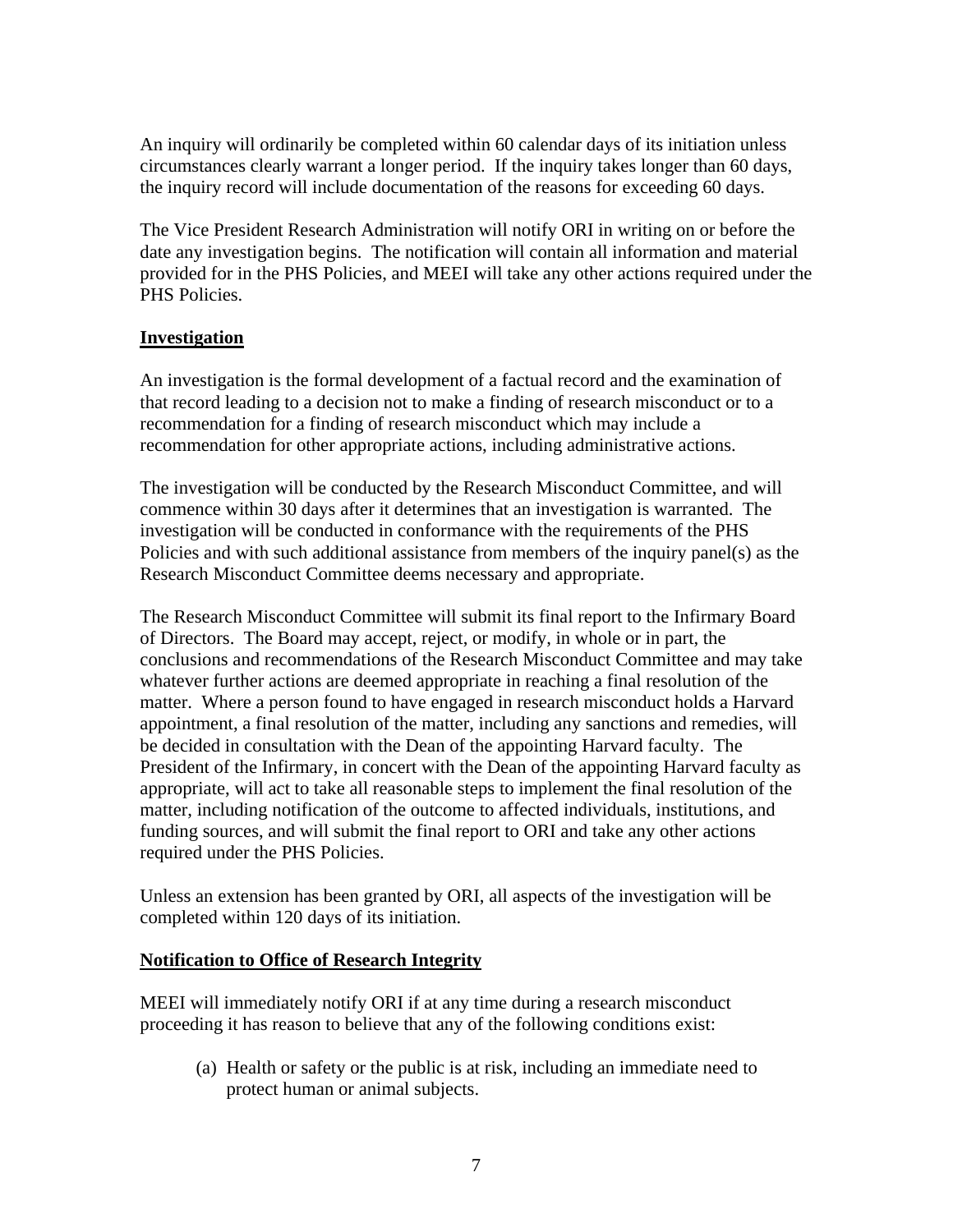An inquiry will ordinarily be completed within 60 calendar days of its initiation unless circumstances clearly warrant a longer period. If the inquiry takes longer than 60 days, the inquiry record will include documentation of the reasons for exceeding 60 days.

The Vice President Research Administration will notify ORI in writing on or before the date any investigation begins. The notification will contain all information and material provided for in the PHS Policies, and MEEI will take any other actions required under the PHS Policies.

## **Investigation**

An investigation is the formal development of a factual record and the examination of that record leading to a decision not to make a finding of research misconduct or to a recommendation for a finding of research misconduct which may include a recommendation for other appropriate actions, including administrative actions.

The investigation will be conducted by the Research Misconduct Committee, and will commence within 30 days after it determines that an investigation is warranted. The investigation will be conducted in conformance with the requirements of the PHS Policies and with such additional assistance from members of the inquiry panel(s) as the Research Misconduct Committee deems necessary and appropriate.

The Research Misconduct Committee will submit its final report to the Infirmary Board of Directors. The Board may accept, reject, or modify, in whole or in part, the conclusions and recommendations of the Research Misconduct Committee and may take whatever further actions are deemed appropriate in reaching a final resolution of the matter. Where a person found to have engaged in research misconduct holds a Harvard appointment, a final resolution of the matter, including any sanctions and remedies, will be decided in consultation with the Dean of the appointing Harvard faculty. The President of the Infirmary, in concert with the Dean of the appointing Harvard faculty as appropriate, will act to take all reasonable steps to implement the final resolution of the matter, including notification of the outcome to affected individuals, institutions, and funding sources, and will submit the final report to ORI and take any other actions required under the PHS Policies.

Unless an extension has been granted by ORI, all aspects of the investigation will be completed within 120 days of its initiation.

#### **Notification to Office of Research Integrity**

MEEI will immediately notify ORI if at any time during a research misconduct proceeding it has reason to believe that any of the following conditions exist:

(a) Health or safety or the public is at risk, including an immediate need to protect human or animal subjects.